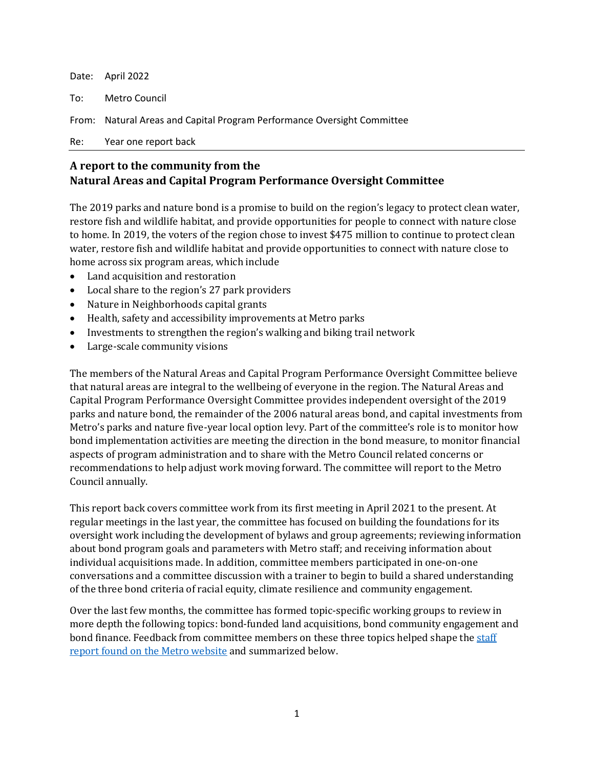| Re: Year one report back                                                |
|-------------------------------------------------------------------------|
| From: Natural Areas and Capital Program Performance Oversight Committee |
| To: Metro Council                                                       |
| Date: April 2022                                                        |

# **A report to the community from the Natural Areas and Capital Program Performance Oversight Committee**

The 2019 parks and nature bond is a promise to build on the region's legacy to protect clean water, restore fish and wildlife habitat, and provide opportunities for people to connect with nature close to home. In 2019, the voters of the region chose to invest \$475 million to continue to protect clean water, restore fish and wildlife habitat and provide opportunities to connect with nature close to home across six program areas, which include

- Land acquisition and restoration
- Local share to the region's 27 park providers
- Nature in Neighborhoods capital grants
- Health, safety and accessibility improvements at Metro parks
- Investments to strengthen the region's walking and biking trail network
- Large-scale community visions

The members of the Natural Areas and Capital Program Performance Oversight Committee believe that natural areas are integral to the wellbeing of everyone in the region. The Natural Areas and Capital Program Performance Oversight Committee provides independent oversight of the 2019 parks and nature bond, the remainder of the 2006 natural areas bond, and capital investments from Metro's parks and nature five-year local option levy. Part of the committee's role is to monitor how bond implementation activities are meeting the direction in the bond measure, to monitor financial aspects of program administration and to share with the Metro Council related concerns or recommendations to help adjust work moving forward. The committee will report to the Metro Council annually.

This report back covers committee work from its first meeting in April 2021 to the present. At regular meetings in the last year, the committee has focused on building the foundations for its oversight work including the development of bylaws and group agreements; reviewing information about bond program goals and parameters with Metro staff; and receiving information about individual acquisitions made. In addition, committee members participated in one-on-one conversations and a committee discussion with a trainer to begin to build a shared understanding of the three bond criteria of racial equity, climate resilience and community engagement.

Over the last few months, the committee has formed topic-specific working groups to review in more depth the following topics: bond-funded land acquisitions, bond community engagement and bond finance. Feedback from committee members on these three topics helped shape th[e staff](https://www.oregonmetro.gov/sites/default/files/2022/04/11/20220411-winter-staff-report-final.pdf)  [report found on the Metro website](https://www.oregonmetro.gov/sites/default/files/2022/04/11/20220411-winter-staff-report-final.pdf) and summarized below.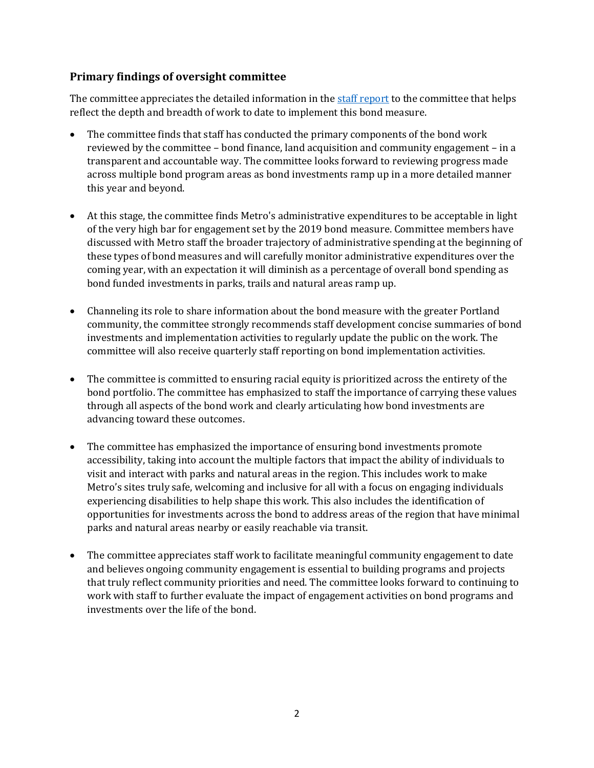## **Primary findings of oversight committee**

The committee appreciates the detailed information in the [staff report](https://www.oregonmetro.gov/sites/default/files/2022/04/11/20220411-winter-staff-report-final.pdf) to the committee that helps reflect the depth and breadth of work to date to implement this bond measure.

- The committee finds that staff has conducted the primary components of the bond work reviewed by the committee – bond finance, land acquisition and community engagement – in a transparent and accountable way. The committee looks forward to reviewing progress made across multiple bond program areas as bond investments ramp up in a more detailed manner this year and beyond.
- At this stage, the committee finds Metro's administrative expenditures to be acceptable in light of the very high bar for engagement set by the 2019 bond measure. Committee members have discussed with Metro staff the broader trajectory of administrative spending at the beginning of these types of bond measures and will carefully monitor administrative expenditures over the coming year, with an expectation it will diminish as a percentage of overall bond spending as bond funded investments in parks, trails and natural areas ramp up.
- Channeling its role to share information about the bond measure with the greater Portland community, the committee strongly recommends staff development concise summaries of bond investments and implementation activities to regularly update the public on the work. The committee will also receive quarterly staff reporting on bond implementation activities.
- The committee is committed to ensuring racial equity is prioritized across the entirety of the bond portfolio. The committee has emphasized to staff the importance of carrying these values through all aspects of the bond work and clearly articulating how bond investments are advancing toward these outcomes.
- The committee has emphasized the importance of ensuring bond investments promote accessibility, taking into account the multiple factors that impact the ability of individuals to visit and interact with parks and natural areas in the region. This includes work to make Metro's sites truly safe, welcoming and inclusive for all with a focus on engaging individuals experiencing disabilities to help shape this work. This also includes the identification of opportunities for investments across the bond to address areas of the region that have minimal parks and natural areas nearby or easily reachable via transit.
- The committee appreciates staff work to facilitate meaningful community engagement to date and believes ongoing community engagement is essential to building programs and projects that truly reflect community priorities and need. The committee looks forward to continuing to work with staff to further evaluate the impact of engagement activities on bond programs and investments over the life of the bond.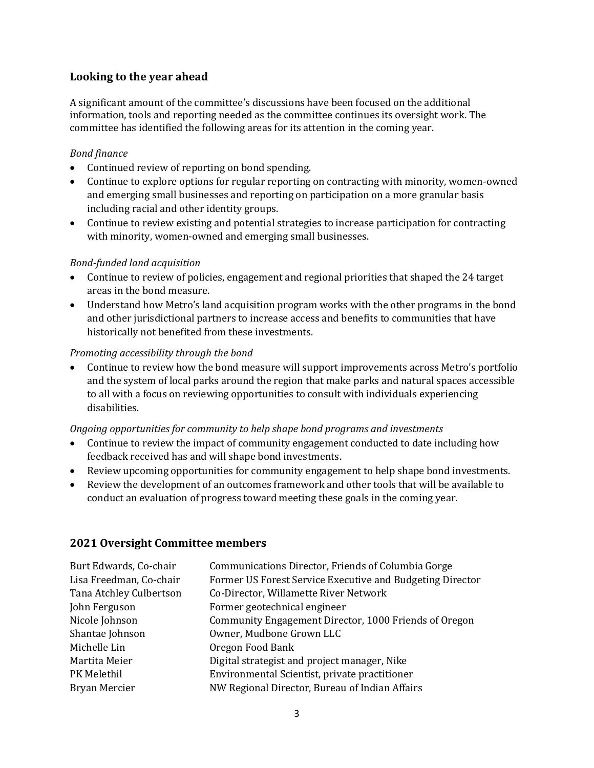## **Looking to the year ahead**

A significant amount of the committee's discussions have been focused on the additional information, tools and reporting needed as the committee continues its oversight work. The committee has identified the following areas for its attention in the coming year.

### *Bond finance*

- Continued review of reporting on bond spending.
- Continue to explore options for regular reporting on contracting with minority, women-owned and emerging small businesses and reporting on participation on a more granular basis including racial and other identity groups.
- Continue to review existing and potential strategies to increase participation for contracting with minority, women-owned and emerging small businesses.

#### *Bond-funded land acquisition*

- Continue to review of policies, engagement and regional priorities that shaped the 24 target areas in the bond measure.
- Understand how Metro's land acquisition program works with the other programs in the bond and other jurisdictional partners to increase access and benefits to communities that have historically not benefited from these investments.

#### *Promoting accessibility through the bond*

• Continue to review how the bond measure will support improvements across Metro's portfolio and the system of local parks around the region that make parks and natural spaces accessible to all with a focus on reviewing opportunities to consult with individuals experiencing disabilities.

#### *Ongoing opportunities for community to help shape bond programs and investments*

- Continue to review the impact of community engagement conducted to date including how feedback received has and will shape bond investments.
- Review upcoming opportunities for community engagement to help shape bond investments.
- Review the development of an outcomes framework and other tools that will be available to conduct an evaluation of progress toward meeting these goals in the coming year.

#### **2021 Oversight Committee members**

| Burt Edwards, Co-chair  | Communications Director, Friends of Columbia Gorge        |
|-------------------------|-----------------------------------------------------------|
| Lisa Freedman, Co-chair | Former US Forest Service Executive and Budgeting Director |
| Tana Atchley Culbertson | Co-Director, Willamette River Network                     |
| John Ferguson           | Former geotechnical engineer                              |
| Nicole Johnson          | Community Engagement Director, 1000 Friends of Oregon     |
| Shantae Johnson         | Owner, Mudbone Grown LLC                                  |
| Michelle Lin            | Oregon Food Bank                                          |
| Martita Meier           | Digital strategist and project manager, Nike              |
| PK Melethil             | Environmental Scientist, private practitioner             |
| Bryan Mercier           | NW Regional Director, Bureau of Indian Affairs            |
|                         |                                                           |